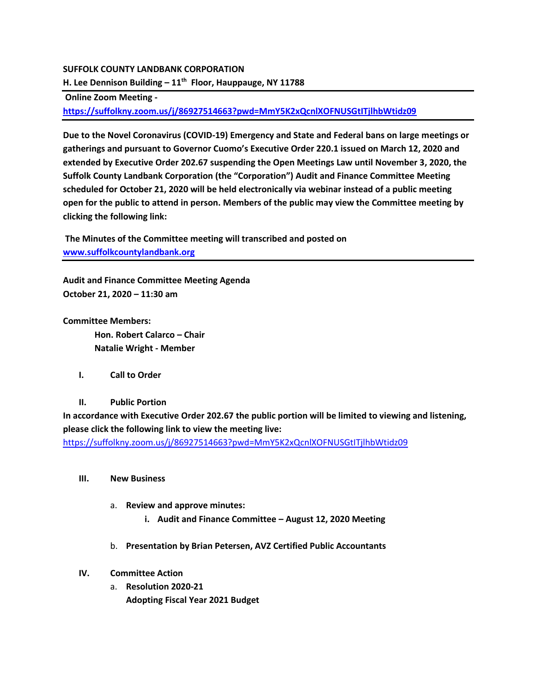## **SUFFOLK COUNTY LANDBANK CORPORATION**

**H. Lee Dennison Building – 11th Floor, Hauppauge, NY 11788**

**Online Zoom Meeting -**

**<https://suffolkny.zoom.us/j/86927514663?pwd=MmY5K2xQcnlXOFNUSGtITjlhbWtidz09>**

**Due to the Novel Coronavirus (COVID-19) Emergency and State and Federal bans on large meetings or gatherings and pursuant to Governor Cuomo's Executive Order 220.1 issued on March 12, 2020 and extended by Executive Order 202.67 suspending the Open Meetings Law until November 3, 2020, the Suffolk County Landbank Corporation (the "Corporation") Audit and Finance Committee Meeting scheduled for October 21, 2020 will be held electronically via webinar instead of a public meeting open for the public to attend in person. Members of the public may view the Committee meeting by clicking the following link:** 

**The Minutes of the Committee meeting will transcribed and posted on [www.suffolkcountylandbank.org](http://www.suffolkcountylandbank.org/)**

**Audit and Finance Committee Meeting Agenda October 21, 2020 – 11:30 am**

**Committee Members:**

**Hon. Robert Calarco – Chair Natalie Wright - Member**

- **I. Call to Order**
- **II. Public Portion**

**In accordance with Executive Order 202.67 the public portion will be limited to viewing and listening, please click the following link to view the meeting live:** 

<https://suffolkny.zoom.us/j/86927514663?pwd=MmY5K2xQcnlXOFNUSGtITjlhbWtidz09>

- **III. New Business**
	- a. **Review and approve minutes:** 
		- **i. Audit and Finance Committee – August 12, 2020 Meeting**
	- b. **Presentation by Brian Petersen, AVZ Certified Public Accountants**

## **IV. Committee Action**

a. **Resolution 2020-21 Adopting Fiscal Year 2021 Budget**